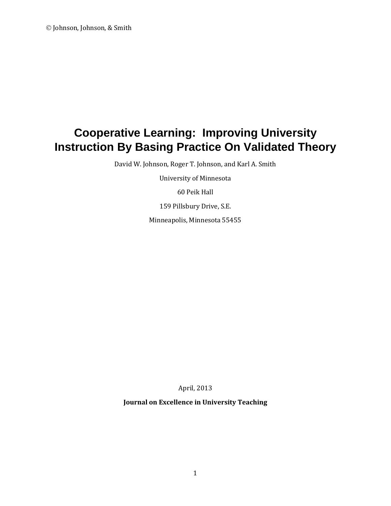# **Cooperative Learning: Improving University Instruction By Basing Practice On Validated Theory**

David W. Johnson, Roger T. Johnson, and Karl A. Smith

University of Minnesota

60 Peik Hall

159 Pillsbury Drive, S.E.

Minneapolis, Minnesota 55455

April, 2013

**Journal on Excellence in University Teaching**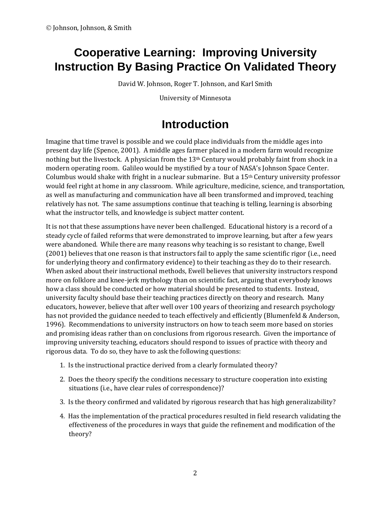# **Cooperative Learning: Improving University Instruction By Basing Practice On Validated Theory**

David W. Johnson, Roger T. Johnson, and Karl Smith

University of Minnesota

# **Introduction**

Imagine that time travel is possible and we could place individuals from the middle ages into present day life (Spence, 2001). A middle ages farmer placed in a modern farm would recognize nothing but the livestock. A physician from the  $13<sup>th</sup>$  Century would probably faint from shock in a modern operating room. Galileo would be mystified by a tour of NASA's Johnson Space Center. Columbus would shake with fright in a nuclear submarine. But a  $15<sup>th</sup>$  Century university professor would feel right at home in any classroom. While agriculture, medicine, science, and transportation, as well as manufacturing and communication have all been transformed and improved, teaching relatively has not. The same assumptions continue that teaching is telling, learning is absorbing what the instructor tells, and knowledge is subject matter content.

It is not that these assumptions have never been challenged. Educational history is a record of a steady cycle of failed reforms that were demonstrated to improve learning, but after a few years were abandoned. While there are many reasons why teaching is so resistant to change, Ewell (2001) believes that one reason is that instructors fail to apply the same scientific rigor (i.e., need for underlying theory and confirmatory evidence) to their teaching as they do to their research. When asked about their instructional methods, Ewell believes that university instructors respond more on folklore and knee-jerk mythology than on scientific fact, arguing that everybody knows how a class should be conducted or how material should be presented to students. Instead, university faculty should base their teaching practices directly on theory and research. Many educators, however, believe that after well over 100 years of theorizing and research psychology has not provided the guidance needed to teach effectively and efficiently (Blumenfeld & Anderson, 1996). Recommendations to university instructors on how to teach seem more based on stories and promising ideas rather than on conclusions from rigorous research. Given the importance of improving university teaching, educators should respond to issues of practice with theory and rigorous data. To do so, they have to ask the following questions:

- 1. Is the instructional practice derived from a clearly formulated theory?
- 2. Does the theory specify the conditions necessary to structure cooperation into existing situations (i.e., have clear rules of correspondence)?
- 3. Is the theory confirmed and validated by rigorous research that has high generalizability?
- 4. Has the implementation of the practical procedures resulted in field research validating the effectiveness of the procedures in ways that guide the refinement and modification of the theory?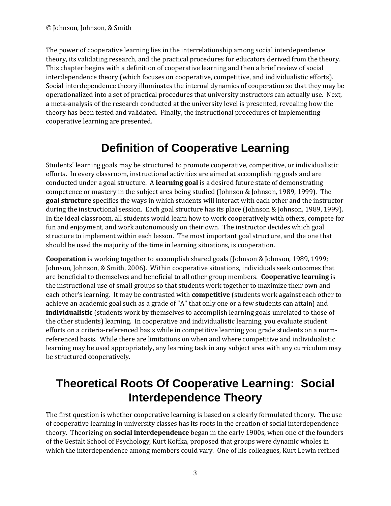The power of cooperative learning lies in the interrelationship among social interdependence theory, its validating research, and the practical procedures for educators derived from the theory. This chapter begins with a definition of cooperative learning and then a brief review of social interdependence theory (which focuses on cooperative, competitive, and individualistic efforts). Social interdependence theory illuminates the internal dynamics of cooperation so that they may be operationalized into a set of practical procedures that university instructors can actually use. Next, a meta-analysis of the research conducted at the university level is presented, revealing how the theory has been tested and validated. Finally, the instructional procedures of implementing cooperative learning are presented.

# **Definition of Cooperative Learning**

Students' learning goals may be structured to promote cooperative, competitive, or individualistic efforts. In every classroom, instructional activities are aimed at accomplishing goals and are conducted under a goal structure. A **learning goal** is a desired future state of demonstrating competence or mastery in the subject area being studied (Johnson & Johnson, 1989, 1999). The **goal structure** specifies the ways in which students will interact with each other and the instructor during the instructional session. Each goal structure has its place (Johnson & Johnson, 1989, 1999). In the ideal classroom, all students would learn how to work cooperatively with others, compete for fun and enjoyment, and work autonomously on their own. The instructor decides which goal structure to implement within each lesson. The most important goal structure, and the one that should be used the majority of the time in learning situations, is cooperation.

**Cooperation** is working together to accomplish shared goals (Johnson & Johnson, 1989, 1999; Johnson, Johnson, & Smith, 2006). Within cooperative situations, individuals seek outcomes that are beneficial to themselves and beneficial to all other group members. **Cooperative learning** is the instructional use of small groups so that students work together to maximize their own and each other's learning. It may be contrasted with **competitive** (students work against each other to achieve an academic goal such as a grade of "A" that only one or a few students can attain) and **individualistic** (students work by themselves to accomplish learning goals unrelated to those of the other students) learning. In cooperative and individualistic learning, you evaluate student efforts on a criteria-referenced basis while in competitive learning you grade students on a normreferenced basis. While there are limitations on when and where competitive and individualistic learning may be used appropriately, any learning task in any subject area with any curriculum may be structured cooperatively.

# **Theoretical Roots Of Cooperative Learning: Social Interdependence Theory**

The first question is whether cooperative learning is based on a clearly formulated theory. The use of cooperative learning in university classes has its roots in the creation of social interdependence theory. Theorizing on **social interdependence** began in the early 1900s, when one of the founders of the Gestalt School of Psychology, Kurt Koffka, proposed that groups were dynamic wholes in which the interdependence among members could vary. One of his colleagues, Kurt Lewin refined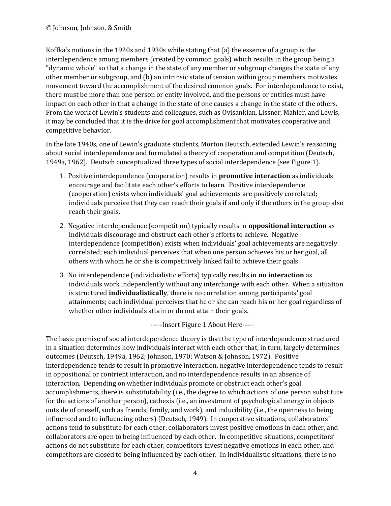Koffka's notions in the 1920s and 1930s while stating that (a) the essence of a group is the interdependence among members (created by common goals) which results in the group being a "dynamic whole" so that a change in the state of any member or subgroup changes the state of any other member or subgroup, and (b) an intrinsic state of tension within group members motivates movement toward the accomplishment of the desired common goals. For interdependence to exist, there must be more than one person or entity involved, and the persons or entities must have impact on each other in that a change in the state of one causes a change in the state of the others. From the work of Lewin's students and colleagues, such as Ovisankian, Lissner, Mahler, and Lewis, it may be concluded that it is the drive for goal accomplishment that motivates cooperative and competitive behavior.

In the late 1940s, one of Lewin's graduate students, Morton Deutsch, extended Lewin's reasoning about social interdependence and formulated a theory of cooperation and competition (Deutsch, 1949a, 1962). Deutsch conceptualized three types of social interdependence (see Figure 1).

- 1. Positive interdependence (cooperation) results in **promotive interaction** as individuals encourage and facilitate each other's efforts to learn. Positive interdependence (cooperation) exists when individuals' goal achievements are positively correlated; individuals perceive that they can reach their goals if and only if the others in the group also reach their goals.
- 2. Negative interdependence (competition) typically results in **oppositional interaction** as individuals discourage and obstruct each other's efforts to achieve. Negative interdependence (competition) exists when individuals' goal achievements are negatively correlated; each individual perceives that when one person achieves his or her goal, all others with whom he or she is competitively linked fail to achieve their goals.
- 3. No interdependence (individualistic efforts) typically results in **no interaction** as individuals work independently without any interchange with each other. When a situation is structured **individualistically**, there is no correlation among participants' goal attainments; each individual perceives that he or she can reach his or her goal regardless of whether other individuals attain or do not attain their goals.

-----Insert Figure 1 About Here-----

The basic premise of social interdependence theory is that the type of interdependence structured in a situation determines how individuals interact with each other that, in turn, largely determines outcomes (Deutsch, 1949a, 1962; Johnson, 1970; Watson & Johnson, 1972). Positive interdependence tends to result in promotive interaction, negative interdependence tends to result in oppositional or contrient interaction, and no interdependence results in an absence of interaction. Depending on whether individuals promote or obstruct each other's goal accomplishments, there is substitutability (i.e., the degree to which actions of one person substitute for the actions of another person), cathexis (i.e., an investment of psychological energy in objects outside of oneself, such as friends, family, and work), and inducibility (i.e., the openness to being influenced and to influencing others) (Deutsch, 1949). In cooperative situations, collaborators' actions tend to substitute for each other, collaborators invest positive emotions in each other, and collaborators are open to being influenced by each other. In competitive situations, competitors' actions do not substitute for each other, competitors invest negative emotions in each other, and competitors are closed to being influenced by each other. In individualistic situations, there is no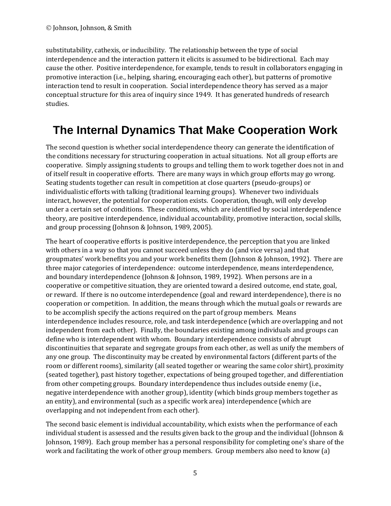substitutability, cathexis, or inducibility. The relationship between the type of social interdependence and the interaction pattern it elicits is assumed to be bidirectional. Each may cause the other. Positive interdependence, for example, tends to result in collaborators engaging in promotive interaction (i.e., helping, sharing, encouraging each other), but patterns of promotive interaction tend to result in cooperation. Social interdependence theory has served as a major conceptual structure for this area of inquiry since 1949. It has generated hundreds of research studies.

# **The Internal Dynamics That Make Cooperation Work**

The second question is whether social interdependence theory can generate the identification of the conditions necessary for structuring cooperation in actual situations. Not all group efforts are cooperative. Simply assigning students to groups and telling them to work together does not in and of itself result in cooperative efforts. There are many ways in which group efforts may go wrong. Seating students together can result in competition at close quarters (pseudo-groups) or individualistic efforts with talking (traditional learning groups). Whenever two individuals interact, however, the potential for cooperation exists. Cooperation, though, will only develop under a certain set of conditions. These conditions, which are identified by social interdependence theory, are positive interdependence, individual accountability, promotive interaction, social skills, and group processing (Johnson & Johnson, 1989, 2005).

The heart of cooperative efforts is positive interdependence, the perception that you are linked with others in a way so that you cannot succeed unless they do (and vice versa) and that groupmates' work benefits you and your work benefits them (Johnson & Johnson, 1992). There are three major categories of interdependence: outcome interdependence, means interdependence, and boundary interdependence (Johnson & Johnson, 1989, 1992). When persons are in a cooperative or competitive situation, they are oriented toward a desired outcome, end state, goal, or reward. If there is no outcome interdependence (goal and reward interdependence), there is no cooperation or competition. In addition, the means through which the mutual goals or rewards are to be accomplish specify the actions required on the part of group members. Means interdependence includes resource, role, and task interdependence (which are overlapping and not independent from each other). Finally, the boundaries existing among individuals and groups can define who is interdependent with whom. Boundary interdependence consists of abrupt discontinuities that separate and segregate groups from each other, as well as unify the members of any one group. The discontinuity may be created by environmental factors (different parts of the room or different rooms), similarity (all seated together or wearing the same color shirt), proximity (seated together), past history together, expectations of being grouped together, and differentiation from other competing groups. Boundary interdependence thus includes outside enemy (i.e., negative interdependence with another group), identity (which binds group members together as an entity), and environmental (such as a specific work area) interdependence (which are overlapping and not independent from each other).

The second basic element is individual accountability, which exists when the performance of each individual student is assessed and the results given back to the group and the individual (Johnson & Johnson, 1989). Each group member has a personal responsibility for completing one's share of the work and facilitating the work of other group members. Group members also need to know (a)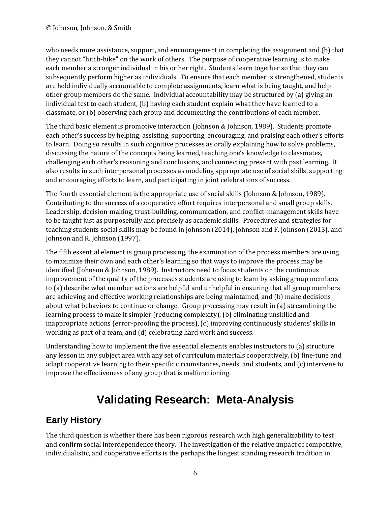who needs more assistance, support, and encouragement in completing the assignment and (b) that they cannot "hitch-hike" on the work of others. The purpose of cooperative learning is to make each member a stronger individual in his or her right. Students learn together so that they can subsequently perform higher as individuals. To ensure that each member is strengthened, students are held individually accountable to complete assignments, learn what is being taught, and help other group members do the same. Individual accountability may be structured by (a) giving an individual test to each student, (b) having each student explain what they have learned to a classmate, or (b) observing each group and documenting the contributions of each member.

The third basic element is promotive interaction (Johnson & Johnson, 1989). Students promote each other's success by helping, assisting, supporting, encouraging, and praising each other's efforts to learn. Doing so results in such cognitive processes as orally explaining how to solve problems, discussing the nature of the concepts being learned, teaching one's knowledge to classmates, challenging each other's reasoning and conclusions, and connecting present with past learning. It also results in such interpersonal processes as modeling appropriate use of social skills, supporting and encouraging efforts to learn, and participating in joint celebrations of success.

The fourth essential element is the appropriate use of social skills (Johnson & Johnson, 1989). Contributing to the success of a cooperative effort requires interpersonal and small group skills. Leadership, decision-making, trust-building, communication, and conflict-management skills have to be taught just as purposefully and precisely as academic skills. Procedures and strategies for teaching students social skills may be found in Johnson (2014), Johnson and F. Johnson (2013), and Johnson and R. Johnson (1997).

The fifth essential element is group processing, the examination of the process members are using to maximize their own and each other's learning so that ways to improve the process may be identified (Johnson & Johnson, 1989). Instructors need to focus students on the continuous improvement of the quality of the processes students are using to learn by asking group members to (a) describe what member actions are helpful and unhelpful in ensuring that all group members are achieving and effective working relationships are being maintained, and (b) make decisions about what behaviors to continue or change. Group processing may result in (a) streamlining the learning process to make it simpler (reducing complexity), (b) eliminating unskilled and inappropriate actions (error-proofing the process), (c) improving continuously students' skills in working as part of a team, and (d) celebrating hard work and success.

Understanding how to implement the five essential elements enables instructors to (a) structure any lesson in any subject area with any set of curriculum materials cooperatively, (b) fine-tune and adapt cooperative learning to their specific circumstances, needs, and students, and (c) intervene to improve the effectiveness of any group that is malfunctioning.

# **Validating Research: Meta-Analysis**

### **Early History**

The third question is whether there has been rigorous research with high generalizability to test and confirm social interdependence theory. The investigation of the relative impact of competitive, individualistic, and cooperative efforts is the perhaps the longest standing research tradition in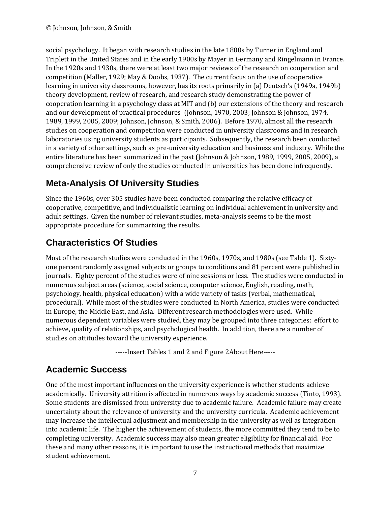social psychology. It began with research studies in the late 1800s by Turner in England and Triplett in the United States and in the early 1900s by Mayer in Germany and Ringelmann in France. In the 1920s and 1930s, there were at least two major reviews of the research on cooperation and competition (Maller, 1929; May & Doobs, 1937). The current focus on the use of cooperative learning in university classrooms, however, has its roots primarily in (a) Deutsch's (1949a, 1949b) theory development, review of research, and research study demonstrating the power of cooperation learning in a psychology class at MIT and (b) our extensions of the theory and research and our development of practical procedures (Johnson, 1970, 2003; Johnson & Johnson, 1974, 1989, 1999, 2005, 2009; Johnson, Johnson, & Smith, 2006). Before 1970, almost all the research studies on cooperation and competition were conducted in university classrooms and in research laboratories using university students as participants. Subsequently, the research been conducted in a variety of other settings, such as pre-university education and business and industry. While the entire literature has been summarized in the past (Johnson & Johnson, 1989, 1999, 2005, 2009), a comprehensive review of only the studies conducted in universities has been done infrequently.

### **Meta-Analysis Of University Studies**

Since the 1960s, over 305 studies have been conducted comparing the relative efficacy of cooperative, competitive, and individualistic learning on individual achievement in university and adult settings. Given the number of relevant studies, meta-analysis seems to be the most appropriate procedure for summarizing the results.

### **Characteristics Of Studies**

Most of the research studies were conducted in the 1960s, 1970s, and 1980s (see Table 1). Sixtyone percent randomly assigned subjects or groups to conditions and 81 percent were published in journals. Eighty percent of the studies were of nine sessions or less. The studies were conducted in numerous subject areas (science, social science, computer science, English, reading, math, psychology, health, physical education) with a wide variety of tasks (verbal, mathematical, procedural). While most of the studies were conducted in North America, studies were conducted in Europe, the Middle East, and Asia. Different research methodologies were used. While numerous dependent variables were studied, they may be grouped into three categories: effort to achieve, quality of relationships, and psychological health. In addition, there are a number of studies on attitudes toward the university experience.

-----Insert Tables 1 and 2 and Figure 2About Here-----

### **Academic Success**

One of the most important influences on the university experience is whether students achieve academically. University attrition is affected in numerous ways by academic success (Tinto, 1993). Some students are dismissed from university due to academic failure. Academic failure may create uncertainty about the relevance of university and the university curricula. Academic achievement may increase the intellectual adjustment and membership in the university as well as integration into academic life. The higher the achievement of students, the more committed they tend to be to completing university. Academic success may also mean greater eligibility for financial aid. For these and many other reasons, it is important to use the instructional methods that maximize student achievement.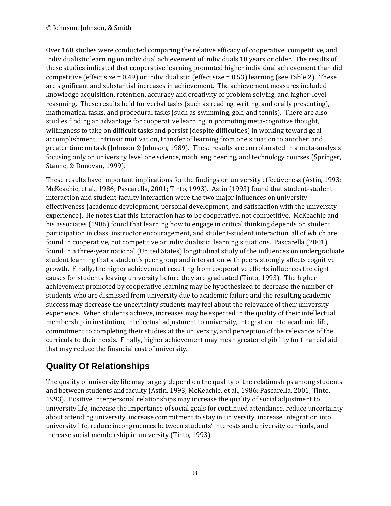Over 168 studies were conducted comparing the relative efficacy of cooperative, competitive, and individualistic learning on individual achievement of individuals 18 years or older. The results of these studies indicated that cooperative learning promoted higher individual achievement than did competitive (effect size  $= 0.49$ ) or individualistic (effect size  $= 0.53$ ) learning (see Table 2). These are significant and substantial increases in achievement. The achievement measures included knowledge acquisition, retention, accuracy and creativity of problem solving, and higher-level reasoning. These results held for verbal tasks (such as reading, writing, and orally presenting), mathematical tasks, and procedural tasks (such as swimming, golf, and tennis). There are also studies finding an advantage for cooperative learning in promoting meta-cognitive thought, willingness to take on difficult tasks and persist (despite difficulties) in working toward goal accomplishment, intrinsic motivation, transfer of learning from one situation to another, and greater time on task (Johnson & Johnson, 1989). These results are corroborated in a meta-analysis focusing only on university level one science, math, engineering, and technology courses (Springer, Stanne, & Donovan, 1999).

These results have important implications for the findings on university effectiveness (Astin, 1993; McKeachie, et al., 1986; Pascarella, 2001; Tinto, 1993). Astin (1993) found that student-student interaction and student-faculty interaction were the two major influences on university effectiveness (academic development, personal development, and satisfaction with the university experience). He notes that this interaction has to be cooperative, not competitive. McKeachie and his associates (1986) found that learning how to engage in critical thinking depends on student participation in class, instructor encouragement, and student-student interaction, all of which are found in cooperative, not competitive or individualistic, learning situations. Pascarella (2001) found in a three-year national (United States) longitudinal study of the influences on undergraduate student learning that a student's peer group and interaction with peers strongly affects cognitive growth. Finally, the higher achievement resulting from cooperative efforts influences the eight causes for students leaving university before they are graduated (Tinto, 1993). The higher achievement promoted by cooperative learning may be hypothesized to decrease the number of students who are dismissed from university due to academic failure and the resulting academic success may decrease the uncertainty students may feel about the relevance of their university experience. When students achieve, increases may be expected in the quality of their intellectual membership in institution, intellectual adjustment to university, integration into academic life, commitment to completing their studies at the university, and perception of the relevance of the curricula to their needs. Finally, higher achievement may mean greater eligibility for financial aid that may reduce the financial cost of university.

### **Quality Of Relationships**

The quality of university life may largely depend on the quality of the relationships among students and between students and faculty (Astin, 1993; McKeachie, et al., 1986; Pascarella, 2001; Tinto, 1993). Positive interpersonal relationships may increase the quality of social adjustment to university life, increase the importance of social goals for continued attendance, reduce uncertainty about attending university, increase commitment to stay in university, increase integration into university life, reduce incongruences between students' interests and university curricula, and increase social membership in university (Tinto, 1993).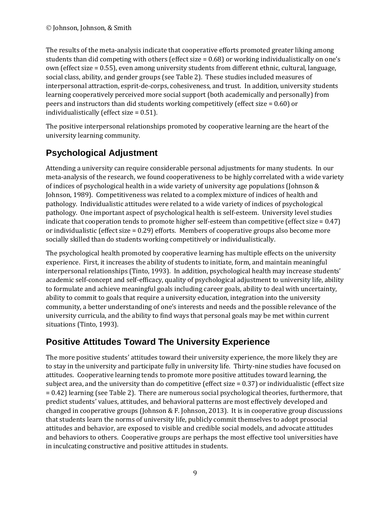The results of the meta-analysis indicate that cooperative efforts promoted greater liking among students than did competing with others (effect size = 0.68) or working individualistically on one's own (effect size = 0.55), even among university students from different ethnic, cultural, language, social class, ability, and gender groups (see Table 2). These studies included measures of interpersonal attraction, esprit-de-corps, cohesiveness, and trust. In addition, university students learning cooperatively perceived more social support (both academically and personally) from peers and instructors than did students working competitively (effect size = 0.60) or individualistically (effect size = 0.51).

The positive interpersonal relationships promoted by cooperative learning are the heart of the university learning community.

### **Psychological Adjustment**

Attending a university can require considerable personal adjustments for many students. In our meta-analysis of the research, we found cooperativeness to be highly correlated with a wide variety of indices of psychological health in a wide variety of university age populations (Johnson & Johnson, 1989). Competitiveness was related to a complex mixture of indices of health and pathology. Individualistic attitudes were related to a wide variety of indices of psychological pathology. One important aspect of psychological health is self-esteem. University level studies indicate that cooperation tends to promote higher self-esteem than competitive (effect size = 0.47) or individualistic (effect size = 0.29) efforts. Members of cooperative groups also become more socially skilled than do students working competitively or individualistically.

The psychological health promoted by cooperative learning has multiple effects on the university experience. First, it increases the ability of students to initiate, form, and maintain meaningful interpersonal relationships (Tinto, 1993). In addition, psychological health may increase students' academic self-concept and self-efficacy, quality of psychological adjustment to university life, ability to formulate and achieve meaningful goals including career goals, ability to deal with uncertainty, ability to commit to goals that require a university education, integration into the university community, a better understanding of one's interests and needs and the possible relevance of the university curricula, and the ability to find ways that personal goals may be met within current situations (Tinto, 1993).

### **Positive Attitudes Toward The University Experience**

The more positive students' attitudes toward their university experience, the more likely they are to stay in the university and participate fully in university life. Thirty-nine studies have focused on attitudes. Cooperative learning tends to promote more positive attitudes toward learning, the subject area, and the university than do competitive (effect size  $= 0.37$ ) or individualistic (effect size = 0.42) learning (see Table 2). There are numerous social psychological theories, furthermore, that predict students' values, attitudes, and behavioral patterns are most effectively developed and changed in cooperative groups (Johnson & F. Johnson, 2013). It is in cooperative group discussions that students learn the norms of university life, publicly commit themselves to adopt prosocial attitudes and behavior, are exposed to visible and credible social models, and advocate attitudes and behaviors to others. Cooperative groups are perhaps the most effective tool universities have in inculcating constructive and positive attitudes in students.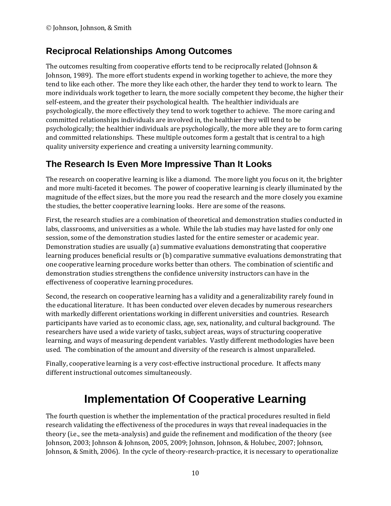#### **Reciprocal Relationships Among Outcomes**

The outcomes resulting from cooperative efforts tend to be reciprocally related (Johnson & Johnson, 1989). The more effort students expend in working together to achieve, the more they tend to like each other. The more they like each other, the harder they tend to work to learn. The more individuals work together to learn, the more socially competent they become, the higher their self-esteem, and the greater their psychological health. The healthier individuals are psychologically, the more effectively they tend to work together to achieve. The more caring and committed relationships individuals are involved in, the healthier they will tend to be psychologically; the healthier individuals are psychologically, the more able they are to form caring and committed relationships. These multiple outcomes form a gestalt that is central to a high quality university experience and creating a university learning community.

#### **The Research Is Even More Impressive Than It Looks**

The research on cooperative learning is like a diamond. The more light you focus on it, the brighter and more multi-faceted it becomes. The power of cooperative learning is clearly illuminated by the magnitude of the effect sizes, but the more you read the research and the more closely you examine the studies, the better cooperative learning looks. Here are some of the reasons.

First, the research studies are a combination of theoretical and demonstration studies conducted in labs, classrooms, and universities as a whole. While the lab studies may have lasted for only one session, some of the demonstration studies lasted for the entire semester or academic year. Demonstration studies are usually (a) summative evaluations demonstrating that cooperative learning produces beneficial results or (b) comparative summative evaluations demonstrating that one cooperative learning procedure works better than others. The combination of scientific and demonstration studies strengthens the confidence university instructors can have in the effectiveness of cooperative learning procedures.

Second, the research on cooperative learning has a validity and a generalizability rarely found in the educational literature. It has been conducted over eleven decades by numerous researchers with markedly different orientations working in different universities and countries. Research participants have varied as to economic class, age, sex, nationality, and cultural background. The researchers have used a wide variety of tasks, subject areas, ways of structuring cooperative learning, and ways of measuring dependent variables. Vastly different methodologies have been used. The combination of the amount and diversity of the research is almost unparalleled.

Finally, cooperative learning is a very cost-effective instructional procedure. It affects many different instructional outcomes simultaneously.

# **Implementation Of Cooperative Learning**

The fourth question is whether the implementation of the practical procedures resulted in field research validating the effectiveness of the procedures in ways that reveal inadequacies in the theory (i.e., see the meta-analysis) and guide the refinement and modification of the theory (see Johnson, 2003; Johnson & Johnson, 2005, 2009; Johnson, Johnson, & Holubec, 2007; Johnson, Johnson, & Smith, 2006). In the cycle of theory-research-practice, it is necessary to operationalize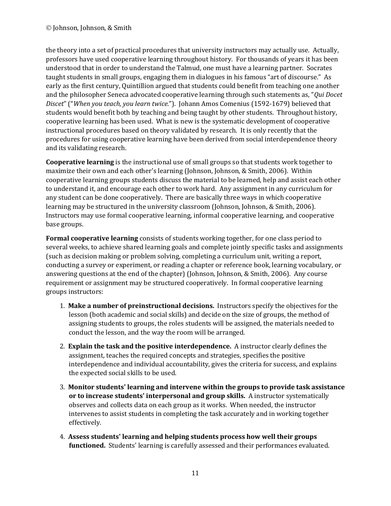the theory into a set of practical procedures that university instructors may actually use. Actually, professors have used cooperative learning throughout history. For thousands of years it has been understood that in order to understand the Talmud, one must have a learning partner. Socrates taught students in small groups, engaging them in dialogues in his famous "art of discourse." As early as the first century, Quintillion argued that students could benefit from teaching one another and the philosopher Seneca advocated cooperative learning through such statements as, "*Qui Docet Discet*" ("*When you teach, you learn twice.*"). Johann Amos Comenius (1592-1679) believed that students would benefit both by teaching and being taught by other students. Throughout history, cooperative learning has been used. What is new is the systematic development of cooperative instructional procedures based on theory validated by research. It is only recently that the procedures for using cooperative learning have been derived from social interdependence theory and its validating research.

**Cooperative learning** is the instructional use of small groups so that students work together to maximize their own and each other's learning (Johnson, Johnson, & Smith, 2006). Within cooperative learning groups students discuss the material to be learned, help and assist each other to understand it, and encourage each other to work hard. Any assignment in any curriculum for any student can be done cooperatively. There are basically three ways in which cooperative learning may be structured in the university classroom (Johnson, Johnson, & Smith, 2006). Instructors may use formal cooperative learning, informal cooperative learning, and cooperative base groups.

**Formal cooperative learning** consists of students working together, for one class period to several weeks, to achieve shared learning goals and complete jointly specific tasks and assignments (such as decision making or problem solving, completing a curriculum unit, writing a report, conducting a survey or experiment, or reading a chapter or reference book, learning vocabulary, or answering questions at the end of the chapter) (Johnson, Johnson, & Smith, 2006). Any course requirement or assignment may be structured cooperatively. In formal cooperative learning groups instructors:

- 1. **Make a number of preinstructional decisions.** Instructors specify the objectives for the lesson (both academic and social skills) and decide on the size of groups, the method of assigning students to groups, the roles students will be assigned, the materials needed to conduct the lesson, and the way the room will be arranged.
- 2. **Explain the task and the positive interdependence.** A instructor clearly defines the assignment, teaches the required concepts and strategies, specifies the positive interdependence and individual accountability, gives the criteria for success, and explains the expected social skills to be used.
- 3. **Monitor students' learning and intervene within the groups to provide task assistance or to increase students' interpersonal and group skills.** A instructor systematically observes and collects data on each group as it works. When needed, the instructor intervenes to assist students in completing the task accurately and in working together effectively.
- 4. **Assess students' learning and helping students process how well their groups functioned.** Students' learning is carefully assessed and their performances evaluated.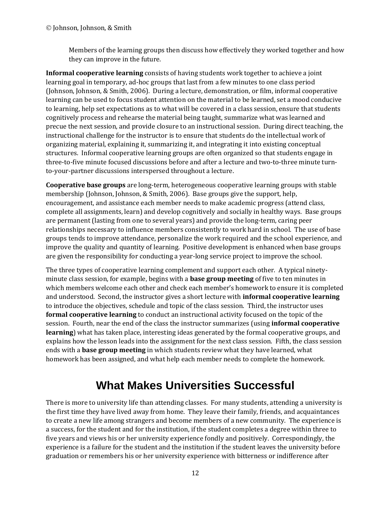Members of the learning groups then discuss how effectively they worked together and how they can improve in the future.

**Informal cooperative learning** consists of having students work together to achieve a joint learning goal in temporary, ad-hoc groups that last from a few minutes to one class period (Johnson, Johnson, & Smith, 2006). During a lecture, demonstration, or film, informal cooperative learning can be used to focus student attention on the material to be learned, set a mood conducive to learning, help set expectations as to what will be covered in a class session, ensure that students cognitively process and rehearse the material being taught, summarize what was learned and precue the next session, and provide closure to an instructional session. During direct teaching, the instructional challenge for the instructor is to ensure that students do the intellectual work of organizing material, explaining it, summarizing it, and integrating it into existing conceptual structures. Informal cooperative learning groups are often organized so that students engage in three-to-five minute focused discussions before and after a lecture and two-to-three minute turnto-your-partner discussions interspersed throughout a lecture.

**Cooperative base groups** are long-term, heterogeneous cooperative learning groups with stable membership (Johnson, Johnson, & Smith, 2006). Base groups give the support, help, encouragement, and assistance each member needs to make academic progress (attend class, complete all assignments, learn) and develop cognitively and socially in healthy ways. Base groups are permanent (lasting from one to several years) and provide the long-term, caring peer relationships necessary to influence members consistently to work hard in school. The use of base groups tends to improve attendance, personalize the work required and the school experience, and improve the quality and quantity of learning. Positive development is enhanced when base groups are given the responsibility for conducting a year-long service project to improve the school.

The three types of cooperative learning complement and support each other. A typical ninetyminute class session, for example, begins with a **base group meeting** of five to ten minutes in which members welcome each other and check each member's homework to ensure it is completed and understood. Second, the instructor gives a short lecture with **informal cooperative learning** to introduce the objectives, schedule and topic of the class session. Third, the instructor uses **formal cooperative learning** to conduct an instructional activity focused on the topic of the session. Fourth, near the end of the class the instructor summarizes (using **informal cooperative learning**) what has taken place, interesting ideas generated by the formal cooperative groups, and explains how the lesson leads into the assignment for the next class session. Fifth, the class session ends with a **base group meeting** in which students review what they have learned, what homework has been assigned, and what help each member needs to complete the homework.

## **What Makes Universities Successful**

There is more to university life than attending classes. For many students, attending a university is the first time they have lived away from home. They leave their family, friends, and acquaintances to create a new life among strangers and become members of a new community. The experience is a success, for the student and for the institution, if the student completes a degree within three to five years and views his or her university experience fondly and positively. Correspondingly, the experience is a failure for the student and the institution if the student leaves the university before graduation or remembers his or her university experience with bitterness or indifference after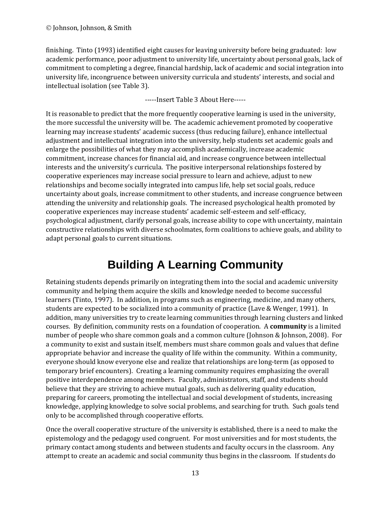finishing. Tinto (1993) identified eight causes for leaving university before being graduated: low academic performance, poor adjustment to university life, uncertainty about personal goals, lack of commitment to completing a degree, financial hardship, lack of academic and social integration into university life, incongruence between university curricula and students' interests, and social and intellectual isolation (see Table 3).

-----Insert Table 3 About Here-----

It is reasonable to predict that the more frequently cooperative learning is used in the university, the more successful the university will be. The academic achievement promoted by cooperative learning may increase students' academic success (thus reducing failure), enhance intellectual adjustment and intellectual integration into the university, help students set academic goals and enlarge the possibilities of what they may accomplish academically, increase academic commitment, increase chances for financial aid, and increase congruence between intellectual interests and the university's curricula. The positive interpersonal relationships fostered by cooperative experiences may increase social pressure to learn and achieve, adjust to new relationships and become socially integrated into campus life, help set social goals, reduce uncertainty about goals, increase commitment to other students, and increase congruence between attending the university and relationship goals. The increased psychological health promoted by cooperative experiences may increase students' academic self-esteem and self-efficacy, psychological adjustment, clarify personal goals, increase ability to cope with uncertainty, maintain constructive relationships with diverse schoolmates, form coalitions to achieve goals, and ability to adapt personal goals to current situations.

# **Building A Learning Community**

Retaining students depends primarily on integrating them into the social and academic university community and helping them acquire the skills and knowledge needed to become successful learners (Tinto, 1997). In addition, in programs such as engineering, medicine, and many others, students are expected to be socialized into a community of practice (Lave & Wenger, 1991). In addition, many universities try to create learning communities through learning clusters and linked courses. By definition, community rests on a foundation of cooperation. A **community** is a limited number of people who share common goals and a common culture (Johnson & Johnson, 2008). For a community to exist and sustain itself, members must share common goals and values that define appropriate behavior and increase the quality of life within the community. Within a community, everyone should know everyone else and realize that relationships are long-term (as opposed to temporary brief encounters). Creating a learning community requires emphasizing the overall positive interdependence among members. Faculty, administrators, staff, and students should believe that they are striving to achieve mutual goals, such as delivering quality education, preparing for careers, promoting the intellectual and social development of students, increasing knowledge, applying knowledge to solve social problems, and searching for truth. Such goals tend only to be accomplished through cooperative efforts.

Once the overall cooperative structure of the university is established, there is a need to make the epistemology and the pedagogy used congruent. For most universities and for most students, the primary contact among students and between students and faculty occurs in the classroom. Any attempt to create an academic and social community thus begins in the classroom. If students do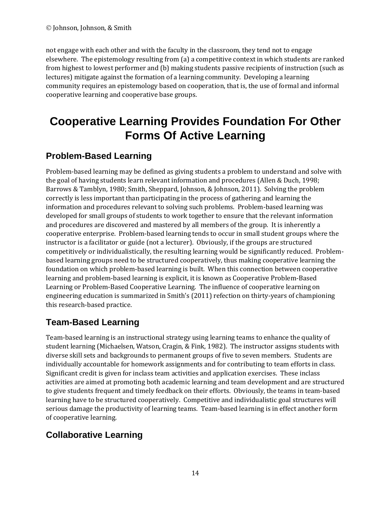not engage with each other and with the faculty in the classroom, they tend not to engage elsewhere. The epistemology resulting from (a) a competitive context in which students are ranked from highest to lowest performer and (b) making students passive recipients of instruction (such as lectures) mitigate against the formation of a learning community. Developing a learning community requires an epistemology based on cooperation, that is, the use of formal and informal cooperative learning and cooperative base groups.

# **Cooperative Learning Provides Foundation For Other Forms Of Active Learning**

#### **Problem-Based Learning**

Problem-based learning may be defined as giving students a problem to understand and solve with the goal of having students learn relevant information and procedures (Allen & Duch, 1998; Barrows & Tamblyn, 1980; Smith, Sheppard, Johnson, & Johnson, 2011). Solving the problem correctly is less important than participating in the process of gathering and learning the information and procedures relevant to solving such problems. Problem-based learning was developed for small groups of students to work together to ensure that the relevant information and procedures are discovered and mastered by all members of the group. It is inherently a cooperative enterprise. Problem-based learning tends to occur in small student groups where the instructor is a facilitator or guide (not a lecturer). Obviously, if the groups are structured competitively or individualistically, the resulting learning would be significantly reduced. Problembased learning groups need to be structured cooperatively, thus making cooperative learning the foundation on which problem-based learning is built. When this connection between cooperative learning and problem-based learning is explicit, it is known as Cooperative Problem-Based Learning or Problem-Based Cooperative Learning. The influence of cooperative learning on engineering education is summarized in Smith's (2011) refection on thirty-years of championing this research-based practice.

### **Team-Based Learning**

Team-based learning is an instructional strategy using learning teams to enhance the quality of student learning (Michaelsen, Watson, Cragin, & Fink, 1982). The instructor assigns students with diverse skill sets and backgrounds to permanent groups of five to seven members. Students are individually accountable for homework assignments and for contributing to team efforts in class. Significant credit is given for inclass team activities and application exercises. These inclass activities are aimed at promoting both academic learning and team development and are structured to give students frequent and timely feedback on their efforts. Obviously, the teams in team-based learning have to be structured cooperatively. Competitive and individualistic goal structures will serious damage the productivity of learning teams. Team-based learning is in effect another form of cooperative learning.

### **Collaborative Learning**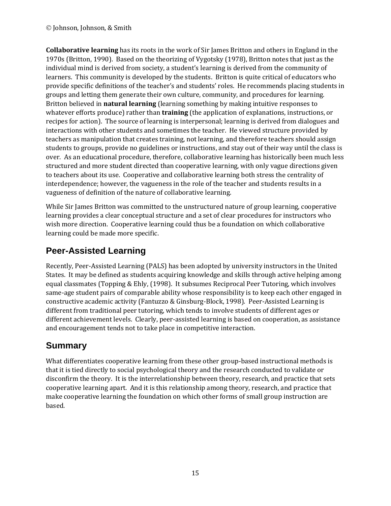**Collaborative learning** has its roots in the work of Sir James Britton and others in England in the 1970s (Britton, 1990). Based on the theorizing of Vygotsky (1978), Britton notes that just as the individual mind is derived from society, a student's learning is derived from the community of learners. This community is developed by the students. Britton is quite critical of educators who provide specific definitions of the teacher's and students' roles. He recommends placing students in groups and letting them generate their own culture, community, and procedures for learning. Britton believed in **natural learning** (learning something by making intuitive responses to whatever efforts produce) rather than **training** (the application of explanations, instructions, or recipes for action). The source of learning is interpersonal; learning is derived from dialogues and interactions with other students and sometimes the teacher. He viewed structure provided by teachers as manipulation that creates training, not learning, and therefore teachers should assign students to groups, provide no guidelines or instructions, and stay out of their way until the class is over. As an educational procedure, therefore, collaborative learning has historically been much less structured and more student directed than cooperative learning, with only vague directions given to teachers about its use. Cooperative and collaborative learning both stress the centrality of interdependence; however, the vagueness in the role of the teacher and students results in a vagueness of definition of the nature of collaborative learning.

While Sir James Britton was committed to the unstructured nature of group learning, cooperative learning provides a clear conceptual structure and a set of clear procedures for instructors who wish more direction. Cooperative learning could thus be a foundation on which collaborative learning could be made more specific.

### **Peer-Assisted Learning**

Recently, Peer-Assisted Learning (PALS) has been adopted by university instructors in the United States. It may be defined as students acquiring knowledge and skills through active helping among equal classmates (Topping & Ehly, (1998). It subsumes Reciprocal Peer Tutoring, which involves same-age student pairs of comparable ability whose responsibility is to keep each other engaged in constructive academic activity (Fantuzzo & Ginsburg-Block, 1998). Peer-Assisted Learning is different from traditional peer tutoring, which tends to involve students of different ages or different achievement levels. Clearly, peer-assisted learning is based on cooperation, as assistance and encouragement tends not to take place in competitive interaction.

### **Summary**

What differentiates cooperative learning from these other group-based instructional methods is that it is tied directly to social psychological theory and the research conducted to validate or disconfirm the theory. It is the interrelationship between theory, research, and practice that sets cooperative learning apart. And it is this relationship among theory, research, and practice that make cooperative learning the foundation on which other forms of small group instruction are based.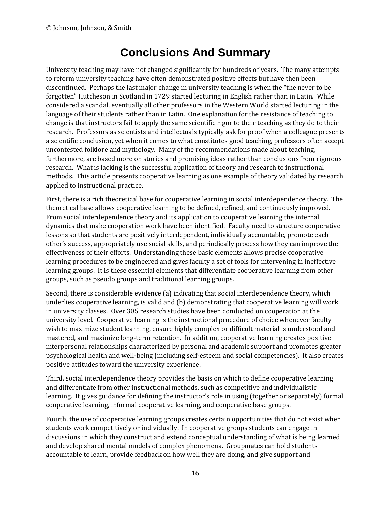## **Conclusions And Summary**

University teaching may have not changed significantly for hundreds of years. The many attempts to reform university teaching have often demonstrated positive effects but have then been discontinued. Perhaps the last major change in university teaching is when the "the never to be forgotten" Hutcheson in Scotland in 1729 started lecturing in English rather than in Latin. While considered a scandal, eventually all other professors in the Western World started lecturing in the language of their students rather than in Latin. One explanation for the resistance of teaching to change is that instructors fail to apply the same scientific rigor to their teaching as they do to their research. Professors as scientists and intellectuals typically ask for proof when a colleague presents a scientific conclusion, yet when it comes to what constitutes good teaching, professors often accept uncontested folklore and mythology. Many of the recommendations made about teaching, furthermore, are based more on stories and promising ideas rather than conclusions from rigorous research. What is lacking is the successful application of theory and research to instructional methods. This article presents cooperative learning as one example of theory validated by research applied to instructional practice.

First, there is a rich theoretical base for cooperative learning in social interdependence theory. The theoretical base allows cooperative learning to be defined, refined, and continuously improved. From social interdependence theory and its application to cooperative learning the internal dynamics that make cooperation work have been identified. Faculty need to structure cooperative lessons so that students are positively interdependent, individually accountable, promote each other's success, appropriately use social skills, and periodically process how they can improve the effectiveness of their efforts. Understanding these basic elements allows precise cooperative learning procedures to be engineered and gives faculty a set of tools for intervening in ineffective learning groups. It is these essential elements that differentiate cooperative learning from other groups, such as pseudo groups and traditional learning groups.

Second, there is considerable evidence (a) indicating that social interdependence theory, which underlies cooperative learning, is valid and (b) demonstrating that cooperative learning will work in university classes. Over 305 research studies have been conducted on cooperation at the university level. Cooperative learning is the instructional procedure of choice whenever faculty wish to maximize student learning, ensure highly complex or difficult material is understood and mastered, and maximize long-term retention. In addition, cooperative learning creates positive interpersonal relationships characterized by personal and academic support and promotes greater psychological health and well-being (including self-esteem and social competencies). It also creates positive attitudes toward the university experience.

Third, social interdependence theory provides the basis on which to define cooperative learning and differentiate from other instructional methods, such as competitive and individualistic learning. It gives guidance for defining the instructor's role in using (together or separately) formal cooperative learning, informal cooperative learning, and cooperative base groups.

Fourth, the use of cooperative learning groups creates certain opportunities that do not exist when students work competitively or individually. In cooperative groups students can engage in discussions in which they construct and extend conceptual understanding of what is being learned and develop shared mental models of complex phenomena. Groupmates can hold students accountable to learn, provide feedback on how well they are doing, and give support and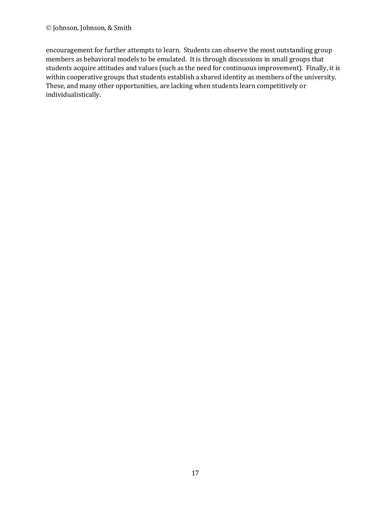#### Johnson, Johnson, & Smith

encouragement for further attempts to learn. Students can observe the most outstanding group members as behavioral models to be emulated. It is through discussions in small groups that students acquire attitudes and values (such as the need for continuous improvement). Finally, it is within cooperative groups that students establish a shared identity as members of the university. These, and many other opportunities, are lacking when students learn competitively or individualistically.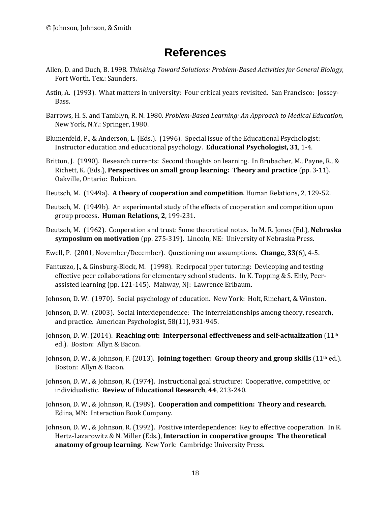## **References**

- Allen, D. and Duch, B. 1998. *Thinking Toward Solutions: Problem-Based Activities for General Biology,*  Fort Worth, Tex.: Saunders.
- Astin, A. (1993). What matters in university: Four critical years revisited. San Francisco: Jossey-Bass.
- Barrows, H. S. and Tamblyn, R. N. 1980. *Problem-Based Learning: An Approach to Medical Education,*  New York, N.Y.: Springer, 1980.
- Blumenfeld, P., & Anderson, L. (Eds.). (1996). Special issue of the Educational Psychologist: Instructor education and educational psychology. **Educational Psychologist, 31**, 1-4.
- Britton, J. (1990). Research currents: Second thoughts on learning. In Brubacher, M., Payne, R., & Richett, K. (Eds.), **Perspectives on small group learning: Theory and practice** (pp. 3-11). Oakville, Ontario: Rubicon.
- Deutsch, M. (1949a). **A theory of cooperation and competition**. Human Relations, 2, 129-52.
- Deutsch, M. (1949b). An experimental study of the effects of cooperation and competition upon group process. **Human Relations, 2**, 199-231.
- Deutsch, M. (1962). Cooperation and trust: Some theoretical notes. In M. R. Jones (Ed.), **Nebraska symposium on motivation** (pp. 275-319). Lincoln, NE: University of Nebraska Press.
- Ewell, P. (2001, November/December). Questioning our assumptions. **Change, 33**(6), 4-5.
- Fantuzzo, J., & Ginsburg-Block, M. (1998). Recirpocal pper tutoring: Devleoping and testing effective peer collaborations for elementary school students. In K. Topping & S. Ehly, Peerassisted learning (pp. 121-145). Mahway, NJ: Lawrence Erlbaum.
- Johnson, D. W. (1970). Social psychology of education. New York: Holt, Rinehart, & Winston.
- Johnson, D. W. (2003). Social interdependence: The interrelationships among theory, research, and practice. American Psychologist, 58(11), 931-945.
- Johnson, D. W. (2014). **Reaching out: Interpersonal effectiveness and self-actualization** (11th ed.). Boston: Allyn & Bacon.
- Johnson, D. W., & Johnson, F. (2013). **Joining together: Group theory and group skills** (11th ed.). Boston: Allyn & Bacon.
- Johnson, D. W., & Johnson, R. (1974). Instructional goal structure: Cooperative, competitive, or individualistic. **Review of Educational Research**, **44**, 213-240.
- Johnson, D. W., & Johnson, R. (1989). **Cooperation and competition: Theory and research**. Edina, MN: Interaction Book Company.
- Johnson, D. W., & Johnson, R. (1992). Positive interdependence: Key to effective cooperation. In R. Hertz-Lazarowitz & N. Miller (Eds.), **Interaction in cooperative groups: The theoretical anatomy of group learning**. New York: Cambridge University Press.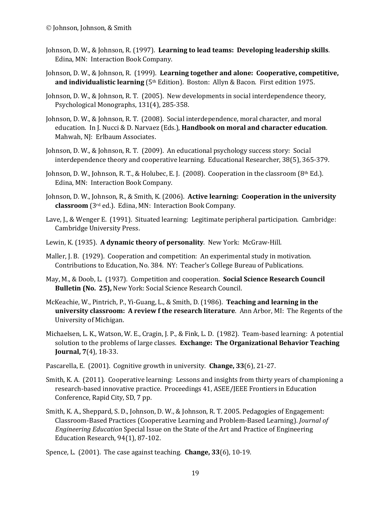- Johnson, D. W., & Johnson, R. (1997). **Learning to lead teams: Developing leadership skills**. Edina, MN: Interaction Book Company.
- Johnson, D. W., & Johnson, R. (1999). **Learning together and alone: Cooperative, competitive, and individualistic learning** (5th Edition). Boston: Allyn & Bacon. First edition 1975.
- Johnson, D. W., & Johnson, R. T. (2005). New developments in social interdependence theory, Psychological Monographs, 131(4), 285-358.
- Johnson, D. W., & Johnson, R. T. (2008). Social interdependence, moral character, and moral education. In J. Nucci & D. Narvaez (Eds.), **Handbook on moral and character education**. Mahwah, NJ: Erlbaum Associates.
- Johnson, D. W., & Johnson, R. T. (2009). An educational psychology success story: Social interdependence theory and cooperative learning. Educational Researcher, 38(5), 365-379.
- Johnson, D. W., Johnson, R. T., & Holubec, E. J. (2008). Cooperation in the classroom (8th Ed.). Edina, MN: Interaction Book Company.
- Johnson, D. W., Johnson, R., & Smith, K. (2006). **Active learning: Cooperation in the university classroom** (3rd ed.). Edina, MN: Interaction Book Company.
- Lave, J., & Wenger E. (1991). Situated learning: Legitimate peripheral participation. Cambridge: Cambridge University Press.
- Lewin, K. (1935). **A dynamic theory of personality**. New York: McGraw-Hill.
- Maller, J. B. (1929). Cooperation and competition: An experimental study in motivation. Contributions to Education, No. 384. NY: Teacher's College Bureau of Publications.
- May, M., & Doob, L. (1937). Competition and cooperation. **Social Science Research Council Bulletin (No. 25),** New York: Social Science Research Council.
- McKeachie, W., Pintrich, P., Yi-Guang, L., & Smith, D. (1986). **Teaching and learning in the university classroom: A review f the research literature**. Ann Arbor, MI: The Regents of the University of Michigan.
- Michaelsen, L. K., Watson, W. E., Cragin, J. P., & Fink, L. D. (1982). Team-based learning: A potential solution to the problems of large classes. **Exchange: The Organizational Behavior Teaching Journal, 7**(4), 18-33.
- Pascarella, E. (2001). Cognitive growth in university. **Change, 33**(6), 21-27.
- Smith, K. A. (2011). Cooperative learning: Lessons and insights from thirty years of championing a research-based innovative practice. Proceedings 41, ASEE/JEEE Frontiers in Education Conference, Rapid City, SD, 7 pp.
- Smith, K. A., Sheppard, S. D., Johnson, D. W., & Johnson, R. T. 2005. Pedagogies of Engagement: Classroom-Based Practices (Cooperative Learning and Problem-Based Learning). *Journal of Engineering Education* Special Issue on the State of the Art and Practice of Engineering Education Research, 94(1), 87-102.

Spence, L. (2001). The case against teaching. **Change, 33**(6), 10-19.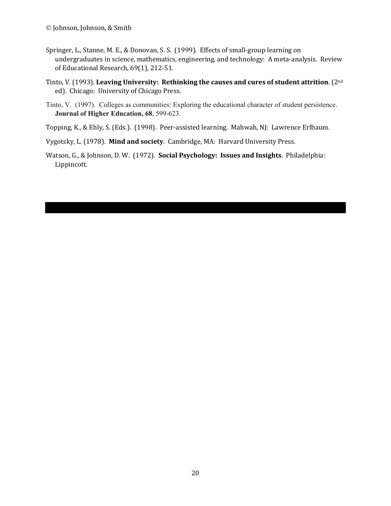- Springer, L., Stanne, M. E., & Donovan, S. S. (1999). Effects of small-group learning on undergraduates in science, mathematics, engineering, and technology: A meta-analysis. Review of Educational Research, 69(1), 212-51.
- Tinto, V. (1993). **Leaving University: Rethinking the causes and cures of student attrition**. (2nd ed). Chicago: University of Chicago Press.
- Tinto, V. (1997). Colleges as communities: Exploring the educational character of student persistence. **Journal of Higher Education, 68**, 599-623.
- Topping, K., & Ehly, S. (Eds.). (1998). Peer-assisted learning. Mahwah, NJ: Lawrence Erlbaum.
- Vygotsky, L. (1978). **Mind and society**. Cambridge, MA: Harvard University Press.
- Watson, G., & Johnson, D. W. (1972). **Social Psychology: Issues and Insights**. Philadelphia: Lippincott.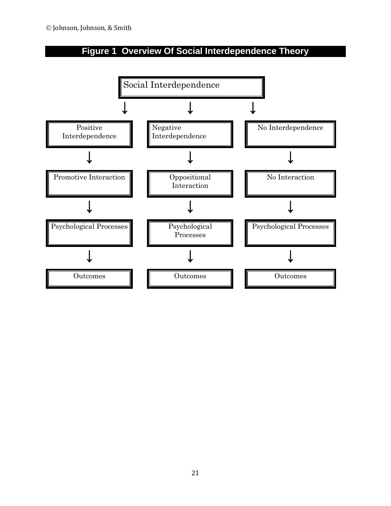### **Figure 1 Overview Of Social Interdependence Theory**

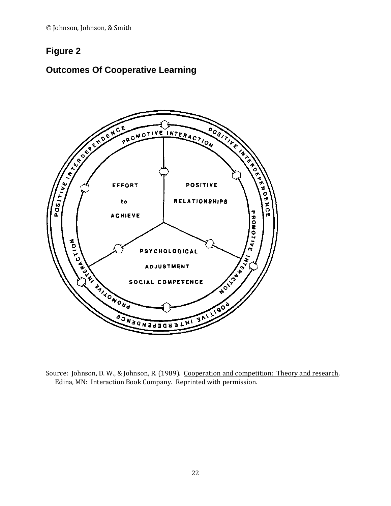### **Figure 2**





Source: Johnson, D. W., & Johnson, R. (1989). Cooperation and competition: Theory and research. Edina, MN: Interaction Book Company. Reprinted with permission.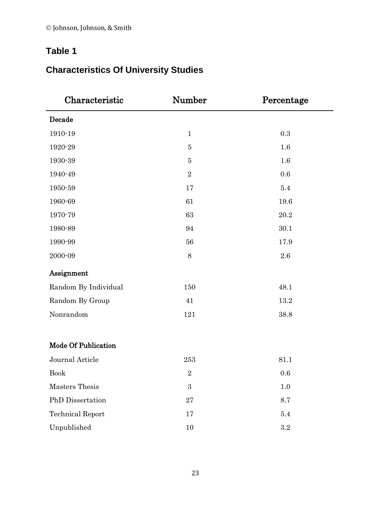## **Table 1**

# **Characteristics Of University Studies**

| Characteristic             | Number         | Percentage |
|----------------------------|----------------|------------|
| Decade                     |                |            |
| $1910 - 19$                | $\mathbf{1}$   | 0.3        |
| 1920-29                    | $\bf 5$        | $1.6\,$    |
| $1930 - 39$                | $\bf 5$        | 1.6        |
| 1940-49                    | $\overline{2}$ | $0.6\,$    |
| $1950 - 59$                | 17             | $5.4\,$    |
| 1960-69                    | 61             | 19.6       |
| 1970-79                    | 63             | 20.2       |
| 1980-89                    | 94             | 30.1       |
| 1990-99                    | 56             | 17.9       |
| 2000-09                    | $8\,$          | $2.6\,$    |
| Assignment                 |                |            |
| Random By Individual       | 150            | 48.1       |
| Random By Group            | 41             | 13.2       |
| Nonrandom                  | 121            | 38.8       |
|                            |                |            |
| <b>Mode Of Publication</b> |                |            |
| Journal Article            | 253            | 81.1       |
| <b>Book</b>                | $\overline{2}$ | 0.6        |
| Masters Thesis             | $\sqrt{3}$     | 1.0        |
| PhD Dissertation           | $\sqrt{27}$    | 8.7        |
| <b>Technical Report</b>    | $17\,$         | 5.4        |
| Unpublished                | $10\,$         | $\!.2$     |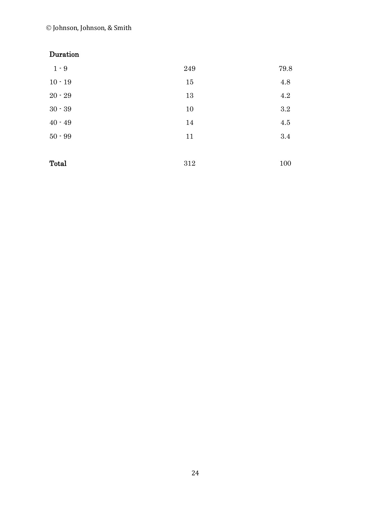#### Johnson, Johnson, & Smith

#### Duration

| $1 - 9$   | 249     | 79.8    |
|-----------|---------|---------|
| $10 - 19$ | 15      | 4.8     |
| $20 - 29$ | 13      | $4.2\,$ |
| $30 - 39$ | 10      | $\!.2$  |
| $40 - 49$ | 14      | $4.5\,$ |
| $50 - 99$ | 11      | 3.4     |
|           |         |         |
| Total     | $312\,$ | 100     |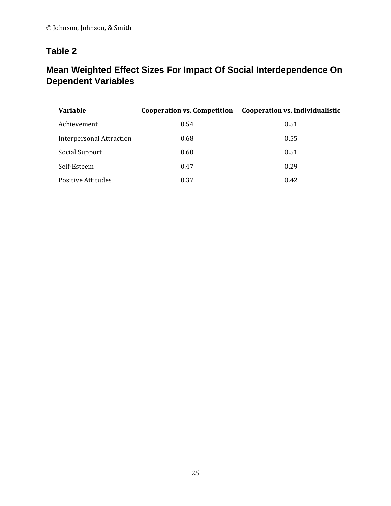### **Table 2**

### **Mean Weighted Effect Sizes For Impact Of Social Interdependence On Dependent Variables**

| <b>Variable</b>           | <b>Cooperation vs. Competition</b> | Cooperation vs. Individualistic |
|---------------------------|------------------------------------|---------------------------------|
| Achievement               | 0.54                               | 0.51                            |
| Interpersonal Attraction  | 0.68                               | 0.55                            |
| Social Support            | 0.60                               | 0.51                            |
| Self-Esteem               | 0.47                               | 0.29                            |
| <b>Positive Attitudes</b> | 0.37                               | 0.42                            |